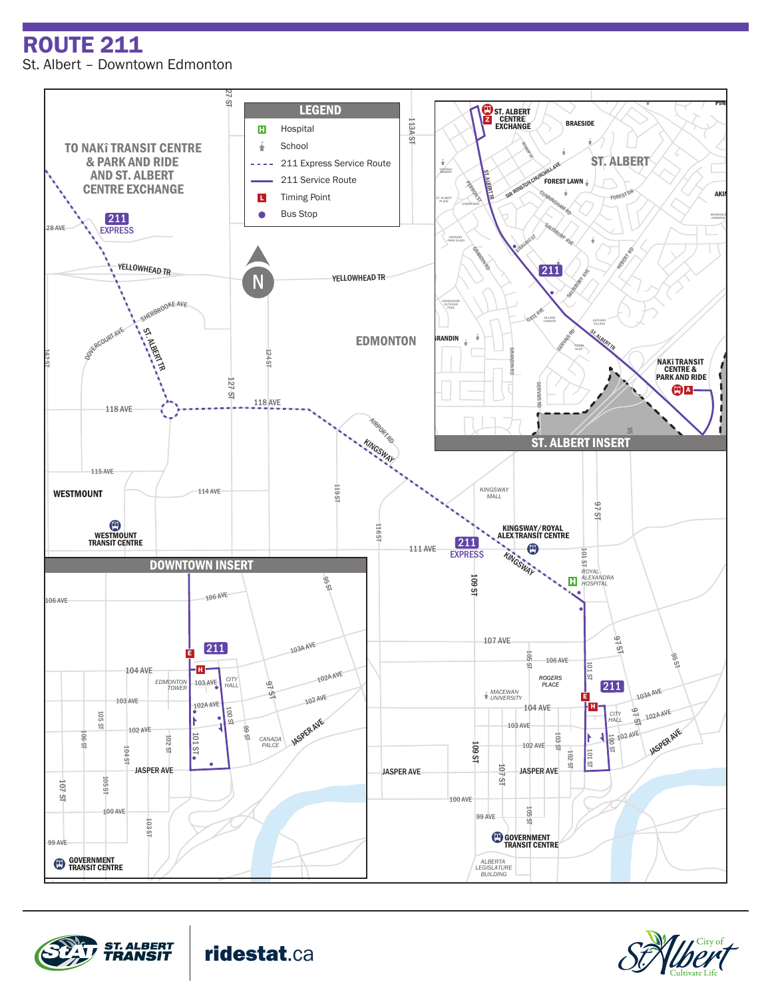ROUTE 211 St. Albert – Downtown Edmonton







WOODLANDS KINGSWOOD

ridestat.ca